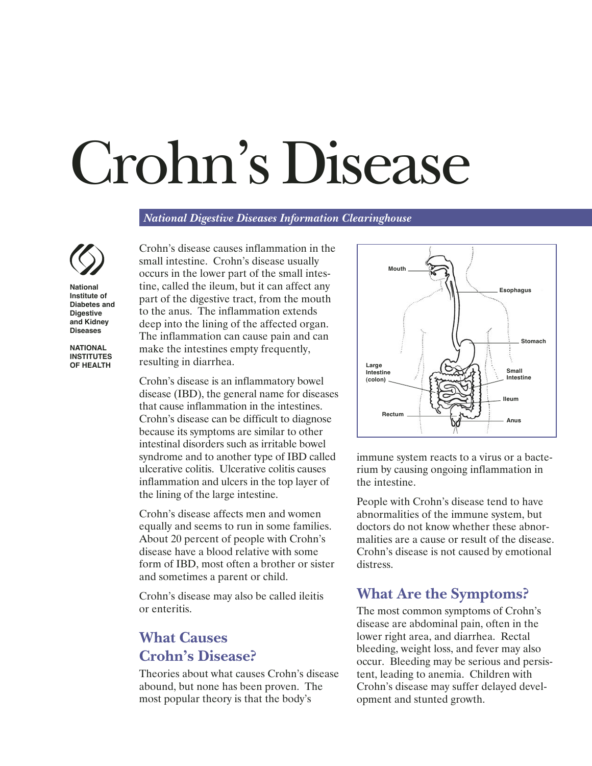# Crohn's Disease

*National Digestive Diseases Information Clearinghouse*



**National Institute of Diabetes and Digestive and Kidney Diseases**

**NATIONAL INSTITUTES OF HEALTH**

Crohn's disease causes inflammation in the small intestine. Crohn's disease usually occurs in the lower part of the small intestine, called the ileum, but it can affect any part of the digestive tract, from the mouth to the anus. The inflammation extends deep into the lining of the affected organ. The inflammation can cause pain and can make the intestines empty frequently, resulting in diarrhea.

Crohn's disease is an inflammatory bowel disease (IBD), the general name for diseases that cause inflammation in the intestines. Crohn's disease can be difficult to diagnose because its symptoms are similar to other intestinal disorders such as irritable bowel syndrome and to another type of IBD called ulcerative colitis. Ulcerative colitis causes inflammation and ulcers in the top layer of the lining of the large intestine.

Crohn's disease affects men and women equally and seems to run in some families. About 20 percent of people with Crohn's disease have a blood relative with some form of IBD, most often a brother or sister and sometimes a parent or child.

Crohn's disease may also be called ileitis or enteritis.

# **What Causes Crohn's Disease?**

Theories about what causes Crohn's disease abound, but none has been proven. The most popular theory is that the body's



immune system reacts to a virus or a bacterium by causing ongoing inflammation in the intestine.

People with Crohn's disease tend to have abnormalities of the immune system, but doctors do not know whether these abnormalities are a cause or result of the disease. Crohn's disease is not caused by emotional distress.

## **What Are the Symptoms?**

The most common symptoms of Crohn's disease are abdominal pain, often in the lower right area, and diarrhea. Rectal bleeding, weight loss, and fever may also occur. Bleeding may be serious and persistent, leading to anemia. Children with Crohn's disease may suffer delayed development and stunted growth.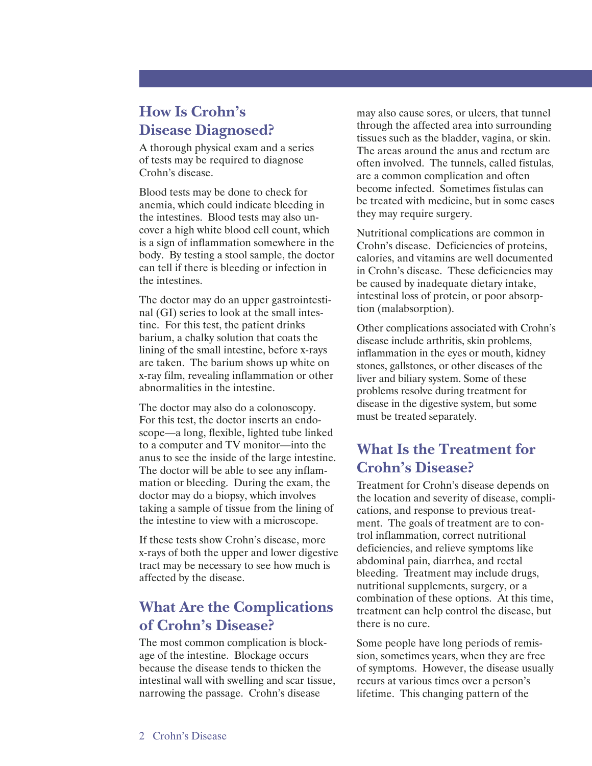## **How Is Crohn's Disease Diagnosed?**

A thorough physical exam and a series of tests may be required to diagnose Crohn's disease.

Blood tests may be done to check for anemia, which could indicate bleeding in the intestines. Blood tests may also uncover a high white blood cell count, which is a sign of inflammation somewhere in the body. By testing a stool sample, the doctor can tell if there is bleeding or infection in the intestines.

The doctor may do an upper gastrointestinal (GI) series to look at the small intestine. For this test, the patient drinks barium, a chalky solution that coats the lining of the small intestine, before x-rays are taken. The barium shows up white on x-ray film, revealing inflammation or other abnormalities in the intestine.

The doctor may also do a colonoscopy. For this test, the doctor inserts an endoscope—a long, flexible, lighted tube linked to a computer and TV monitor—into the anus to see the inside of the large intestine. The doctor will be able to see any inflammation or bleeding. During the exam, the doctor may do a biopsy, which involves taking a sample of tissue from the lining of the intestine to view with a microscope.

If these tests show Crohn's disease, more x-rays of both the upper and lower digestive tract may be necessary to see how much is affected by the disease.

# **What Are the Complications of Crohn's Disease?**

The most common complication is blockage of the intestine. Blockage occurs because the disease tends to thicken the intestinal wall with swelling and scar tissue, narrowing the passage. Crohn's disease

may also cause sores, or ulcers, that tunnel through the affected area into surrounding tissues such as the bladder, vagina, or skin. The areas around the anus and rectum are often involved. The tunnels, called fistulas, are a common complication and often become infected. Sometimes fistulas can be treated with medicine, but in some cases they may require surgery.

Nutritional complications are common in Crohn's disease. Deficiencies of proteins, calories, and vitamins are well documented in Crohn's disease. These deficiencies may be caused by inadequate dietary intake, intestinal loss of protein, or poor absorption (malabsorption).

Other complications associated with Crohn's disease include arthritis, skin problems, inflammation in the eyes or mouth, kidney stones, gallstones, or other diseases of the liver and biliary system. Some of these problems resolve during treatment for disease in the digestive system, but some must be treated separately.

# **What Is the Treatment for Crohn's Disease?**

Treatment for Crohn's disease depends on the location and severity of disease, complications, and response to previous treatment. The goals of treatment are to control inflammation, correct nutritional deficiencies, and relieve symptoms like abdominal pain, diarrhea, and rectal bleeding. Treatment may include drugs, nutritional supplements, surgery, or a combination of these options. At this time, treatment can help control the disease, but there is no cure.

Some people have long periods of remission, sometimes years, when they are free of symptoms. However, the disease usually recurs at various times over a person's lifetime. This changing pattern of the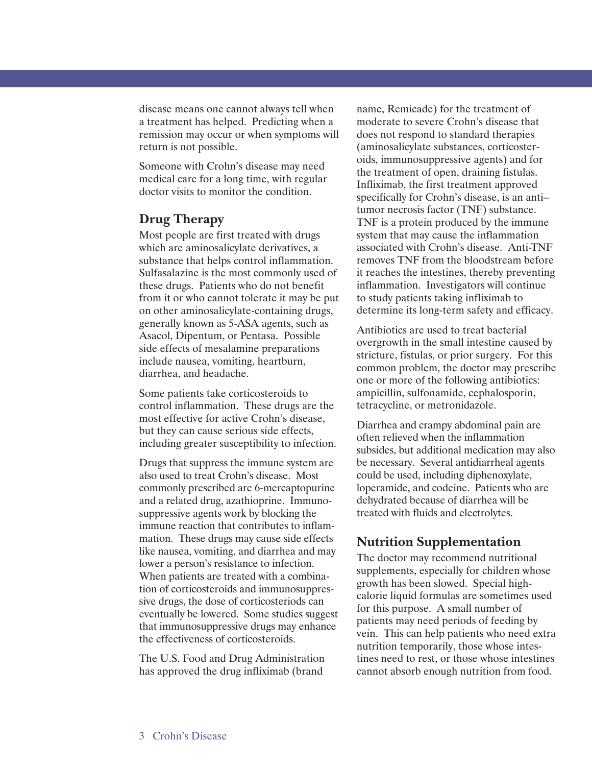disease means one cannot always tell when a treatment has helped. Predicting when a remission may occur or when symptoms will return is not possible.

Someone with Crohn's disease may need medical care for a long time, with regular doctor visits to monitor the condition.

### **Drug Therapy**

Most people are first treated with drugs which are aminosalicylate derivatives, a substance that helps control inflammation. Sulfasalazine is the most commonly used of these drugs. Patients who do not benefit from it or who cannot tolerate it may be put on other aminosalicylate-containing drugs, generally known as 5-ASA agents, such as Asacol, Dipentum, or Pentasa. Possible side effects of mesalamine preparations include nausea, vomiting, heartburn, diarrhea, and headache.

Some patients take corticosteroids to control inflammation. These drugs are the most effective for active Crohn's disease, but they can cause serious side effects, including greater susceptibility to infection.

Drugs that suppress the immune system are also used to treat Crohn's disease. Most commonly prescribed are 6-mercaptopurine and a related drug, azathioprine. Immunosuppressive agents work by blocking the immune reaction that contributes to inflammation. These drugs may cause side effects like nausea, vomiting, and diarrhea and may lower a person's resistance to infection. When patients are treated with a combination of corticosteroids and immunosuppressive drugs, the dose of corticosteriods can eventually be lowered. Some studies suggest that immunosuppressive drugs may enhance the effectiveness of corticosteroids.

The U.S. Food and Drug Administration has approved the drug infliximab (brand

name, Remicade) for the treatment of moderate to severe Crohn's disease that does not respond to standard therapies (aminosalicylate substances, corticosteroids, immunosuppressive agents) and for the treatment of open, draining fistulas. Infliximab, the first treatment approved specifically for Crohn's disease, is an anti– tumor necrosis factor (TNF) substance. TNF is a protein produced by the immune system that may cause the inflammation associated with Crohn's disease. Anti-TNF removes TNF from the bloodstream before it reaches the intestines, thereby preventing inflammation. Investigators will continue to study patients taking infliximab to determine its long-term safety and efficacy.

Antibiotics are used to treat bacterial overgrowth in the small intestine caused by stricture, fistulas, or prior surgery. For this common problem, the doctor may prescribe one or more of the following antibiotics: ampicillin, sulfonamide, cephalosporin, tetracycline, or metronidazole.

Diarrhea and crampy abdominal pain are often relieved when the inflammation subsides, but additional medication may also be necessary. Several antidiarrheal agents could be used, including diphenoxylate, loperamide, and codeine. Patients who are dehydrated because of diarrhea will be treated with fluids and electrolytes.

## **Nutrition Supplementation**

The doctor may recommend nutritional supplements, especially for children whose growth has been slowed. Special highcalorie liquid formulas are sometimes used for this purpose. A small number of patients may need periods of feeding by vein. This can help patients who need extra nutrition temporarily, those whose intestines need to rest, or those whose intestines cannot absorb enough nutrition from food.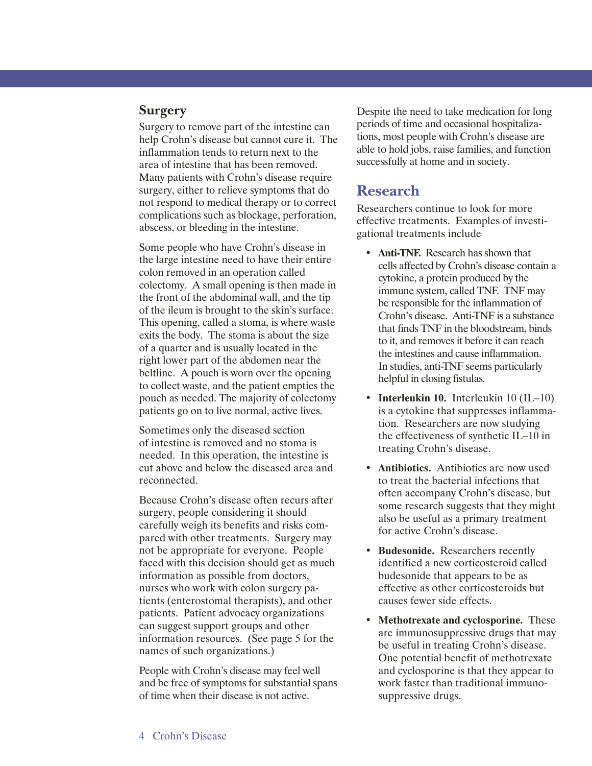#### **Surgery**

Surgery to remove part of the intestine can help Crohn's disease but cannot cure it. The inflammation tends to return next to the area of intestine that has been removed. Many patients with Crohn's disease require surgery, either to relieve symptoms that do not respond to medical therapy or to correct complications such as blockage, perforation, abscess, or bleeding in the intestine.

Some people who have Crohn's disease in the large intestine need to have their entire colon removed in an operation called colectomy. A small opening is then made in the front of the abdominal wall, and the tip of the ileum is brought to the skin's surface. This opening, called a stoma, is where waste exits the body. The stoma is about the size of a quarter and is usually located in the right lower part of the abdomen near the beltline. A pouch is worn over the opening to collect waste, and the patient empties the pouch as needed. The majority of colectomy patients go on to live normal, active lives.

Sometimes only the diseased section of intestine is removed and no stoma is needed. In this operation, the intestine is cut above and below the diseased area and reconnected.

Because Crohn's disease often recurs after surgery, people considering it should carefully weigh its benefits and risks compared with other treatments. Surgery may not be appropriate for everyone. People faced with this decision should get as much information as possible from doctors, nurses who work with colon surgery patients (enterostomal therapists), and other patients. Patient advocacy organizations can suggest support groups and other information resources. (See page 5 for the names of such organizations.)

People with Crohn's disease may feel well and be free of symptoms for substantial spans of time when their disease is not active.

Despite the need to take medication for long periods of time and occasional hospitalizations, most people with Crohn's disease are able to hold jobs, raise families, and function successfully at home and in society.

## **Research**

Researchers continue to look for more effective treatments. Examples of investigational treatments include

- **Anti-TNF.** Research has shown that cells affected by Crohn's disease contain a cytokine, a protein produced by the immune system, called TNF. TNF may be responsible for the inflammation of Crohn's disease. Anti-TNF is a substance that finds TNF in the bloodstream, binds to it, and removes it before it can reach the intestines and cause inflammation. In studies, anti-TNF seems particularly helpful in closing fistulas.
- **Interleukin 10.** Interleukin 10 (IL–10) is a cytokine that suppresses inflammation. Researchers are now studying the effectiveness of synthetic IL–10 in treating Crohn's disease.
- **Antibiotics.** Antibiotics are now used to treat the bacterial infections that often accompany Crohn's disease, but some research suggests that they might also be useful as a primary treatment for active Crohn's disease.
- **Budesonide.** Researchers recently identified a new corticosteroid called budesonide that appears to be as effective as other corticosteroids but causes fewer side effects.
- **Methotrexate and cyclosporine.** These are immunosuppressive drugs that may be useful in treating Crohn's disease. One potential benefit of methotrexate and cyclosporine is that they appear to work faster than traditional immunosuppressive drugs.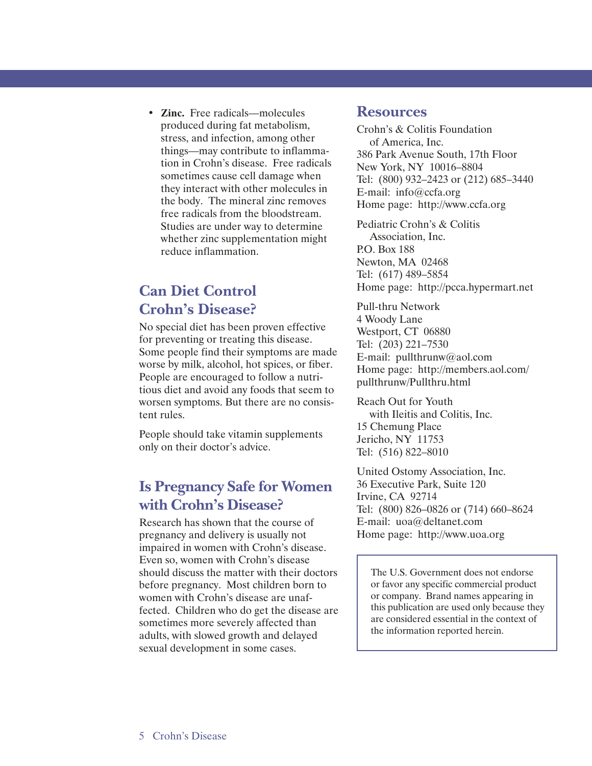**• Zinc.** Free radicals—molecules produced during fat metabolism, stress, and infection, among other things—may contribute to inflammation in Crohn's disease. Free radicals sometimes cause cell damage when they interact with other molecules in the body. The mineral zinc removes free radicals from the bloodstream. Studies are under way to determine whether zinc supplementation might reduce inflammation.

# **Can Diet Control Crohn's Disease?**

No special diet has been proven effective for preventing or treating this disease. Some people find their symptoms are made worse by milk, alcohol, hot spices, or fiber. People are encouraged to follow a nutritious diet and avoid any foods that seem to worsen symptoms. But there are no consistent rules.

People should take vitamin supplements only on their doctor's advice.

## **Is Pregnancy Safe for Women with Crohn's Disease?**

Research has shown that the course of pregnancy and delivery is usually not impaired in women with Crohn's disease. Even so, women with Crohn's disease should discuss the matter with their doctors before pregnancy. Most children born to women with Crohn's disease are unaffected. Children who do get the disease are sometimes more severely affected than adults, with slowed growth and delayed sexual development in some cases.

#### **Resources**

Crohn's & Colitis Foundation of America, Inc. 386 Park Avenue South, 17th Floor New York, NY 10016–8804 Tel: (800) 932–2423 or (212) 685–3440 E-mail: info@ccfa.org Home page: http://www.ccfa.org

Pediatric Crohn's & Colitis Association, Inc. P.O. Box 188 Newton, MA 02468 Tel: (617) 489–5854 Home page: http://pcca.hypermart.net

Pull-thru Network 4 Woody Lane Westport, CT 06880 Tel: (203) 221–7530 E-mail: pullthrunw@aol.com Home page: http://members.aol.com/ pullthrunw/Pullthru.html

Reach Out for Youth with Ileitis and Colitis, Inc. 15 Chemung Place Jericho, NY 11753 Tel: (516) 822–8010

United Ostomy Association, Inc. 36 Executive Park, Suite 120 Irvine, CA 92714 Tel: (800) 826–0826 or (714) 660–8624 E-mail: uoa@deltanet.com Home page: http://www.uoa.org

The U.S. Government does not endorse or favor any specific commercial product or company. Brand names appearing in this publication are used only because they are considered essential in the context of the information reported herein.